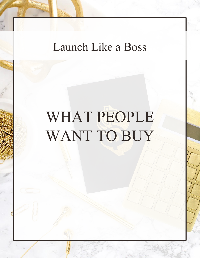## Launch Like a Boss

# WHAT PEOPLE WANT TO BUY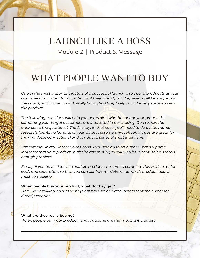### LAUNCH LIKE A BOSS Module 2 | Product & Message

## WHAT PEOPLE WANT TO BUY

*One of the most important factors of a successful launch is to offer a product that your customers truly want to buy. After all, if they already want it, selling will be easy -- but if they don't, you'll have to work really hard. (And they likely won't be very satisfied with the product.)*

*The following questions will help you determine whether or not your product is something your target customers are interested in purchasing. Don't know the answers to the questions? That's okay! In that case, you'll need to do a little market research. Identify a handful of your target customers (Facebook groups are great for making these connections) and conduct a series of short interviews.*

*Still coming up dry? Interviewees don't know the answers either? That's a prime indicator that your product might be attempting to solve an issue that isn't a serious enough problem.*

*Finally, if you have ideas for multiple products, be sure to complete this worksheet for*  each one separately, so that you can confidently determine which product idea is *most compelling.*

#### **When people buy your product, what do they get?**

*Here, we're talking about the physical product or digital assets that the customer directly receives.*

\_\_\_\_\_\_\_\_\_\_\_\_\_\_\_\_\_\_\_\_\_\_\_\_\_\_\_\_\_\_\_\_\_\_\_\_\_\_\_\_\_\_\_\_\_\_\_\_\_\_\_\_\_\_\_\_\_\_\_\_\_\_\_\_\_\_\_\_\_\_\_\_\_\_\_\_\_\_\_\_\_\_\_\_\_\_\_  $\triangle$  define the set of the set of the set of the set of the set of the set of the set of the set of the set of the set of the set of the set of the set of the set of the set of the set of the set of the set of the set of

 $\mathcal{L}_\mathcal{L}$  , and the contract of the contract of the contract of the contract of the contract of the contract of the contract of the contract of the contract of the contract of the contract of the contract of the cont  $\mathcal{L} = \{ \mathcal{L}_1, \ldots, \mathcal{L}_n \}$  , where  $\mathcal{L}_1, \ldots, \mathcal{L}_n$  ,  $\mathcal{L}_n$  ,  $\mathcal{L}_n$  ,  $\mathcal{L}_n$  ,  $\mathcal{L}_n$  ,  $\mathcal{L}_n$  ,  $\mathcal{L}_n$  ,  $\mathcal{L}_n$  ,  $\mathcal{L}_n$  ,  $\mathcal{L}_n$  ,  $\mathcal{L}_n$  ,  $\mathcal{L}_n$  ,  $\mathcal{L}_n$  ,  $\mathcal{L}_n$  ,

#### **What are they really buying?**

*When people buy your product, what outcome are they hoping it creates?*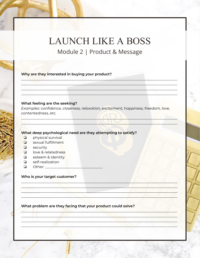## **LAUNCH LIKE A BOSS**

Module 2 | Product & Message

Why are they interested in buying your product?

#### What feeling are the seeking?

Examples: confidence, closeness, relaxation, excitement, happiness, freedom, love, contentedness, etc.

What deep psychological need are they attempting to satisfy?

- $\Box$ physical survival
- $\Box$ sexual fulfillment
- $\Box$  security
- **Q** love & relatedness
- $\Box$  esteem & identity
- self-realization  $\Box$
- Other:  $\Box$

### Who is your target customer?

What problem are they facing that your product could solve?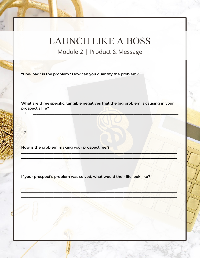### **LAUNCH LIKE A BOSS** Module 2 | Product & Message

"How bad" is the problem? How can you quantify the problem?

What are three specific, tangible negatives that the big problem is causing in your prospect's life?  $1.$ 

## $\overline{2}$ .  $\overline{3}$ .

How is the problem making your prospect feel?

If your prospect's problem was solved, what would their life look like?